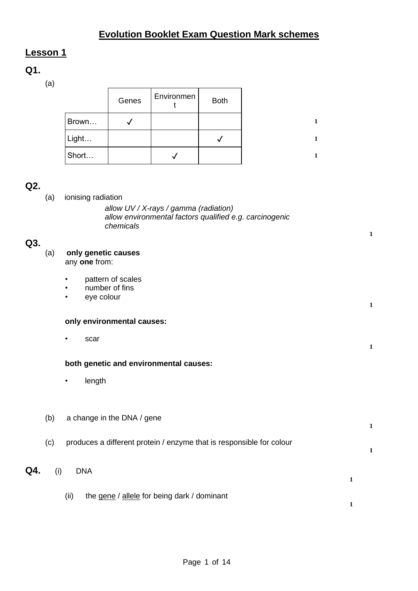# **Evolution Booklet Exam Question Mark schemes**

# **Lesson 1**

# **Q1.**

(a)

|       | Genes | Environmen | <b>Both</b> |  |
|-------|-------|------------|-------------|--|
| Brown |       |            |             |  |
| Light |       |            |             |  |
| Short |       |            |             |  |

# **Q2.**

| QZ. |     |                                                                                                                                     |
|-----|-----|-------------------------------------------------------------------------------------------------------------------------------------|
|     | (a) | ionising radiation<br>allow UV / X-rays / gamma (radiation)<br>allow environmental factors qualified e.g. carcinogenic<br>chemicals |
| Q3. |     |                                                                                                                                     |
|     | (a) | only genetic causes<br>any one from:                                                                                                |
|     |     | pattern of scales<br>number of fins<br>eye colour<br>$\bullet$                                                                      |
|     |     | only environmental causes:                                                                                                          |
|     |     | scar<br>$\bullet$                                                                                                                   |
|     |     | both genetic and environmental causes:                                                                                              |
|     |     | length<br>$\bullet$                                                                                                                 |
|     |     |                                                                                                                                     |
|     | (b) | a change in the DNA / gene                                                                                                          |
|     | (c) | produces a different protein / enzyme that is responsible for colour                                                                |
| Q4. | (i) | <b>DNA</b><br>$\mathbf{1}$                                                                                                          |
|     |     | the gene / allele for being dark / dominant<br>(ii)                                                                                 |

**1**

**1**

**1**

**1**

**1**

**1**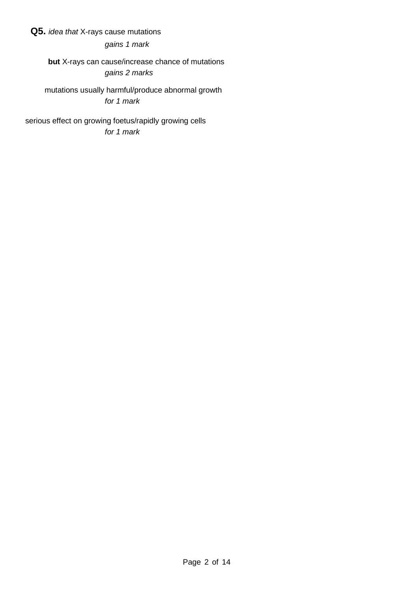## **Q5.** *idea that* X-rays cause mutations

*gains 1 mark*

**but** X-rays can cause/increase chance of mutations *gains 2 marks*

mutations usually harmful/produce abnormal growth *for 1 mark*

serious effect on growing foetus/rapidly growing cells *for 1 mark*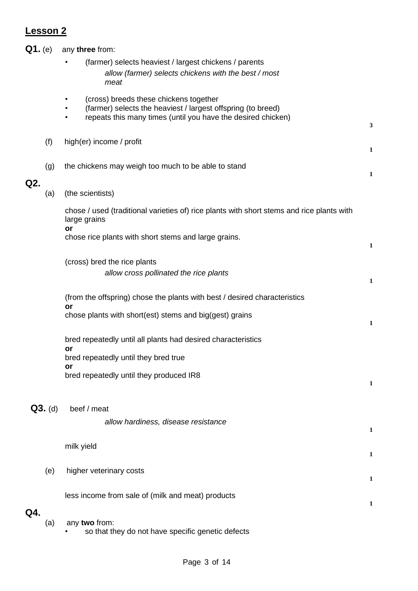| $Q1.$ (e) |           | any three from:                                                                                                                                                        |              |
|-----------|-----------|------------------------------------------------------------------------------------------------------------------------------------------------------------------------|--------------|
|           |           | (farmer) selects heaviest / largest chickens / parents<br>allow (farmer) selects chickens with the best / most<br>meat                                                 |              |
|           |           | (cross) breeds these chickens together<br>(farmer) selects the heaviest / largest offspring (to breed)<br>repeats this many times (until you have the desired chicken) | $\mathbf{3}$ |
|           | (f)       | high(er) income / profit                                                                                                                                               | $\mathbf{1}$ |
|           | (g)       | the chickens may weigh too much to be able to stand                                                                                                                    | 1            |
| Q2.       | (a)       | (the scientists)                                                                                                                                                       |              |
|           |           | chose / used (traditional varieties of) rice plants with short stems and rice plants with<br>large grains<br>or                                                        |              |
|           |           | chose rice plants with short stems and large grains.                                                                                                                   | $\mathbf{1}$ |
|           |           | (cross) bred the rice plants<br>allow cross pollinated the rice plants                                                                                                 | $\mathbf 1$  |
|           |           | (from the offspring) chose the plants with best / desired characteristics<br>or                                                                                        |              |
|           |           | chose plants with short(est) stems and big(gest) grains                                                                                                                | $\mathbf{1}$ |
|           |           | bred repeatedly until all plants had desired characteristics<br>or                                                                                                     |              |
|           |           | bred repeatedly until they bred true<br>or<br>bred repeatedly until they produced IR8                                                                                  | $\mathbf{1}$ |
|           | $Q3.$ (d) | beef / meat<br>allow hardiness, disease resistance                                                                                                                     | $\mathbf{1}$ |
|           |           | milk yield                                                                                                                                                             | 1            |
|           | (e)       | higher veterinary costs                                                                                                                                                | $\mathbf{1}$ |
|           |           | less income from sale of (milk and meat) products                                                                                                                      | $\mathbf{1}$ |
| Q4.       | (a)       | any two from:<br>so that they do not have specific genetic defects                                                                                                     |              |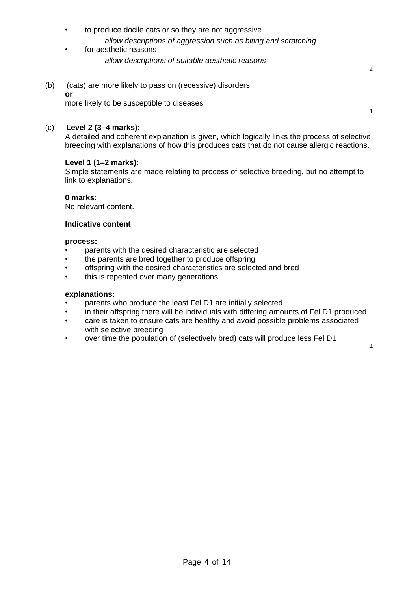- to produce docile cats or so they are not aggressive *allow descriptions of aggression such as biting and scratching*
- for aesthetic reasons *allow descriptions of suitable aesthetic reasons*
- (b) (cats) are more likely to pass on (recessive) disorders **or** more likely to be susceptible to diseases

#### (c) **Level 2 (3–4 marks):**

A detailed and coherent explanation is given, which logically links the process of selective breeding with explanations of how this produces cats that do not cause allergic reactions.

#### **Level 1 (1–2 marks):**

Simple statements are made relating to process of selective breeding, but no attempt to link to explanations.

#### **0 marks:**

No relevant content.

#### **Indicative content**

#### **process:**

- parents with the desired characteristic are selected
- the parents are bred together to produce offspring
- offspring with the desired characteristics are selected and bred
- this is repeated over many generations.

#### **explanations:**

- parents who produce the least Fel D1 are initially selected
- in their offspring there will be individuals with differing amounts of Fel D1 produced
- care is taken to ensure cats are healthy and avoid possible problems associated with selective breeding
- over time the population of (selectively bred) cats will produce less Fel D1

**2**

**1**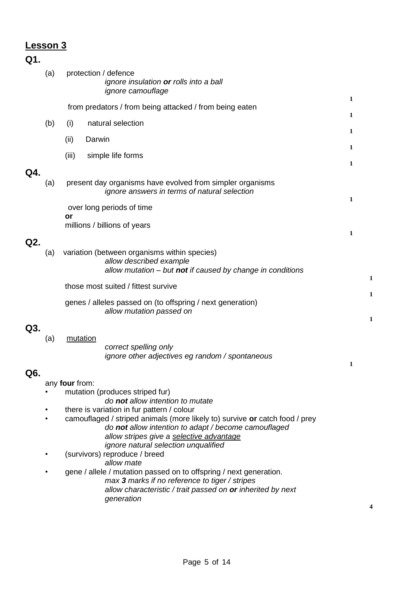# **Q1.**

|     | (a) |                | protection / defence<br>ignore insulation or rolls into a ball<br>ignore camouflage                                                                                                                                                                                   |   |        |
|-----|-----|----------------|-----------------------------------------------------------------------------------------------------------------------------------------------------------------------------------------------------------------------------------------------------------------------|---|--------|
|     |     |                | from predators / from being attacked / from being eaten                                                                                                                                                                                                               | 1 |        |
|     | (b) | (i)            | natural selection                                                                                                                                                                                                                                                     | 1 |        |
|     |     |                |                                                                                                                                                                                                                                                                       | 1 |        |
|     |     | (ii)           | Darwin                                                                                                                                                                                                                                                                | 1 |        |
|     |     | (iii)          | simple life forms                                                                                                                                                                                                                                                     | 1 |        |
| Q4. | (a) |                | present day organisms have evolved from simpler organisms<br>ignore answers in terms of natural selection                                                                                                                                                             | 1 |        |
|     |     |                | over long periods of time                                                                                                                                                                                                                                             |   |        |
|     |     | or             | millions / billions of years                                                                                                                                                                                                                                          |   |        |
| Q2. |     |                |                                                                                                                                                                                                                                                                       | 1 |        |
|     | (a) |                | variation (between organisms within species)<br>allow described example<br>allow mutation - but not if caused by change in conditions                                                                                                                                 |   |        |
|     |     |                | those most suited / fittest survive                                                                                                                                                                                                                                   |   | 1      |
|     |     |                | genes / alleles passed on (to offspring / next generation)<br>allow mutation passed on                                                                                                                                                                                |   | 1<br>1 |
| Q3. | (a) | mutation       | correct spelling only<br>ignore other adjectives eg random / spontaneous                                                                                                                                                                                              | 1 |        |
| Q6. |     |                |                                                                                                                                                                                                                                                                       |   |        |
|     |     | any four from: | mutation (produces striped fur)                                                                                                                                                                                                                                       |   |        |
|     |     |                | do not allow intention to mutate                                                                                                                                                                                                                                      |   |        |
|     |     |                | there is variation in fur pattern / colour<br>camouflaged / striped animals (more likely to) survive or catch food / prey<br>do not allow intention to adapt / become camouflaged<br>allow stripes give a selective advantage<br>ignore natural selection unqualified |   |        |
|     |     |                | (survivors) reproduce / breed<br>allow mate                                                                                                                                                                                                                           |   |        |
|     |     |                | gene / allele / mutation passed on to offspring / next generation.<br>max 3 marks if no reference to tiger / stripes<br>allow characteristic / trait passed on or inherited by next<br>generation                                                                     |   |        |
|     |     |                |                                                                                                                                                                                                                                                                       |   |        |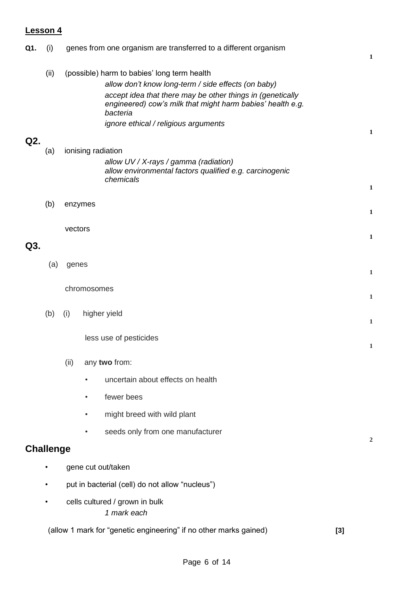| Q1. | (i)              | genes from one organism are transferred to a different organism                                                                                                                                                                            | 1              |
|-----|------------------|--------------------------------------------------------------------------------------------------------------------------------------------------------------------------------------------------------------------------------------------|----------------|
|     | (ii)             | (possible) harm to babies' long term health<br>allow don't know long-term / side effects (on baby)<br>accept idea that there may be other things in (genetically<br>engineered) cow's milk that might harm babies' health e.g.<br>bacteria |                |
|     |                  | ignore ethical / religious arguments                                                                                                                                                                                                       | 1              |
| Q2. | (a)              | ionising radiation<br>allow UV / X-rays / gamma (radiation)<br>allow environmental factors qualified e.g. carcinogenic<br>chemicals                                                                                                        | 1              |
|     | (b)              | enzymes                                                                                                                                                                                                                                    |                |
|     |                  |                                                                                                                                                                                                                                            | 1              |
| Q3. |                  | vectors                                                                                                                                                                                                                                    | 1              |
|     | (a)              | genes                                                                                                                                                                                                                                      | 1              |
|     |                  | chromosomes                                                                                                                                                                                                                                | 1              |
|     | (b)              | higher yield<br>(i)                                                                                                                                                                                                                        | $\mathbf{1}$   |
|     |                  | less use of pesticides                                                                                                                                                                                                                     | 1              |
|     |                  | (ii)<br>any two from:                                                                                                                                                                                                                      |                |
|     |                  | uncertain about effects on health<br>$\bullet$                                                                                                                                                                                             |                |
|     |                  | fewer bees<br>$\bullet$                                                                                                                                                                                                                    |                |
|     |                  | might breed with wild plant                                                                                                                                                                                                                |                |
|     |                  | seeds only from one manufacturer                                                                                                                                                                                                           | $\overline{2}$ |
|     | <b>Challenge</b> |                                                                                                                                                                                                                                            |                |
|     | $\bullet$        | gene cut out/taken                                                                                                                                                                                                                         |                |
|     | $\bullet$        | put in bacterial (cell) do not allow "nucleus")                                                                                                                                                                                            |                |
|     | $\bullet$        | cells cultured / grown in bulk<br>1 mark each                                                                                                                                                                                              |                |
|     |                  | (allow 1 mark for "genetic engineering" if no other marks gained)<br>$[3]$                                                                                                                                                                 |                |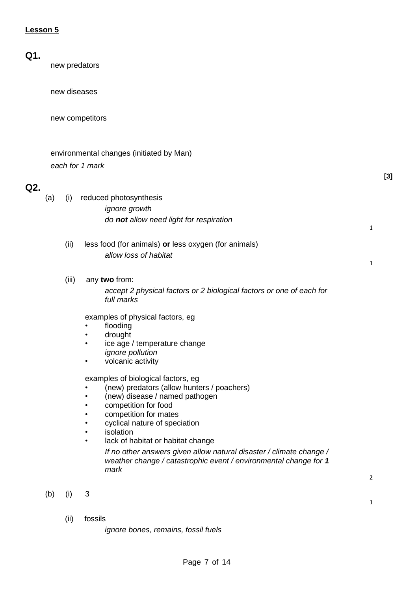# **Q1.**

new predators

new diseases

new competitors

|     |     |       | environmental changes (initiated by Man)                                                                                                                                                                                                                                                                                                                                                                               |                  |       |
|-----|-----|-------|------------------------------------------------------------------------------------------------------------------------------------------------------------------------------------------------------------------------------------------------------------------------------------------------------------------------------------------------------------------------------------------------------------------------|------------------|-------|
|     |     |       | each for 1 mark                                                                                                                                                                                                                                                                                                                                                                                                        |                  |       |
| Q2. |     |       |                                                                                                                                                                                                                                                                                                                                                                                                                        |                  | $[3]$ |
|     | (a) | (i)   | reduced photosynthesis<br><i>ignore growth</i><br>do not allow need light for respiration                                                                                                                                                                                                                                                                                                                              | $\mathbf{1}$     |       |
|     |     | (ii)  | less food (for animals) or less oxygen (for animals)<br>allow loss of habitat                                                                                                                                                                                                                                                                                                                                          | $\mathbf{1}$     |       |
|     |     | (iii) | any two from:<br>accept 2 physical factors or 2 biological factors or one of each for<br>full marks                                                                                                                                                                                                                                                                                                                    |                  |       |
|     |     |       | examples of physical factors, eg<br>flooding<br>drought<br>ice age / temperature change<br><i>ignore pollution</i><br>volcanic activity<br>٠                                                                                                                                                                                                                                                                           |                  |       |
|     |     |       | examples of biological factors, eg<br>(new) predators (allow hunters / poachers)<br>(new) disease / named pathogen<br>competition for food<br>competition for mates<br>cyclical nature of speciation<br>isolation<br>lack of habitat or habitat change<br>$\bullet$<br>If no other answers given allow natural disaster / climate change /<br>weather change / catastrophic event / environmental change for 1<br>mark |                  |       |
|     |     |       |                                                                                                                                                                                                                                                                                                                                                                                                                        | $\boldsymbol{2}$ |       |
|     | (b) | (i)   | 3                                                                                                                                                                                                                                                                                                                                                                                                                      | $\mathbf{1}$     |       |

(ii) fossils

*ignore bones, remains, fossil fuels*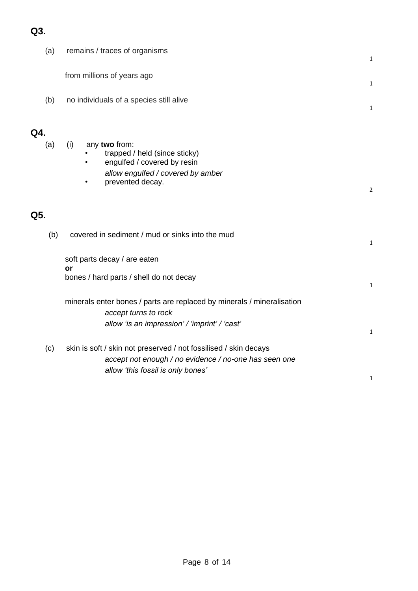# **Q3.**

|     | (a) | remains / traces of organisms                                                                                                                                  |                  |
|-----|-----|----------------------------------------------------------------------------------------------------------------------------------------------------------------|------------------|
|     |     | from millions of years ago                                                                                                                                     | 1<br>1           |
|     | (b) | no individuals of a species still alive                                                                                                                        | $\mathbf{1}$     |
| Q4. | (a) | any two from:<br>(i)<br>trapped / held (since sticky)<br>engulfed / covered by resin<br>allow engulfed / covered by amber<br>prevented decay.<br>$\bullet$     | $\boldsymbol{2}$ |
| Q5. |     |                                                                                                                                                                |                  |
|     | (b) | covered in sediment / mud or sinks into the mud                                                                                                                | 1                |
|     |     | soft parts decay / are eaten<br>or                                                                                                                             |                  |
|     |     | bones / hard parts / shell do not decay                                                                                                                        | 1                |
|     |     | minerals enter bones / parts are replaced by minerals / mineralisation<br>accept turns to rock<br>allow 'is an impression' / 'imprint' / 'cast'                | $\mathbf{1}$     |
|     | (c) | skin is soft / skin not preserved / not fossilised / skin decays<br>accept not enough / no evidence / no-one has seen one<br>allow 'this fossil is only bones' | 1                |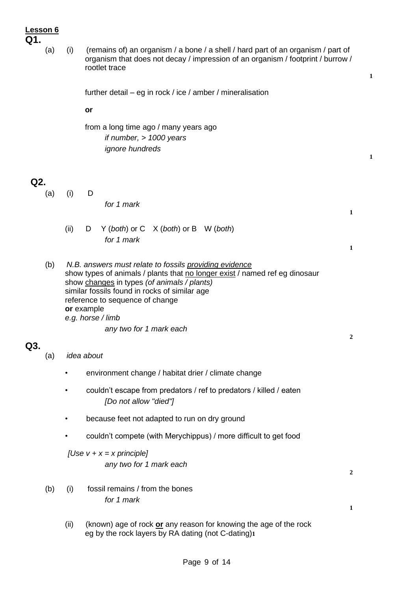- **Q1.** 
	- (a) (i) (remains of) an organism / a bone / a shell / hard part of an organism / part of organism that does not decay / impression of an organism / footprint / burrow / rootlet trace

**1**

**1**

**1**

**1**

**2**

**2**

**1**

further detail – eg in rock / ice / amber / mineralisation

**or**

from a long time ago / many years ago *if number, > 1000 years ignore hundreds*

### **Q2.**

(a) (i) D

*for 1 mark*

- (ii) D Y (*both*) or C X (*both*) or B W (*both*) *for 1 mark*
- (b) *N.B. answers must relate to fossils providing evidence* show types of animals / plants that no longer exist / named ref eg dinosaur show changes in types *(of animals / plants)* similar fossils found in rocks of similar age reference to sequence of change **or** example *e.g. horse / limb*

*any two for 1 mark each*

## **Q3.**

- (a) *idea about*
	- environment change / habitat drier / climate change
	- couldn't escape from predators / ref to predators / killed / eaten *[Do not allow "died"]*
	- because feet not adapted to run on dry ground
	- couldn't compete (with Merychippus) / more difficult to get food

## *[Use v + x = x principle] any two for 1 mark each*

- (b) (i) fossil remains / from the bones *for 1 mark*
	- (ii) (known) age of rock **or** any reason for knowing the age of the rock eg by the rock layers by RA dating (not C-dating)**1**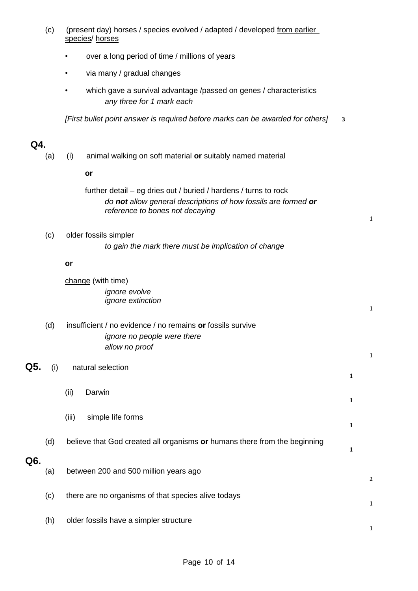|     |     | species/ horses                                                                                                                                                       |              |                  |
|-----|-----|-----------------------------------------------------------------------------------------------------------------------------------------------------------------------|--------------|------------------|
|     |     | over a long period of time / millions of years                                                                                                                        |              |                  |
|     |     | via many / gradual changes<br>٠                                                                                                                                       |              |                  |
|     |     | which gave a survival advantage /passed on genes / characteristics<br>any three for 1 mark each                                                                       |              |                  |
|     |     | [First bullet point answer is required before marks can be awarded for others]                                                                                        | 3            |                  |
| Q4. |     |                                                                                                                                                                       |              |                  |
|     | (a) | animal walking on soft material or suitably named material<br>(i)                                                                                                     |              |                  |
|     |     | or                                                                                                                                                                    |              |                  |
|     |     | further detail – eg dries out / buried / hardens / turns to rock<br>do not allow general descriptions of how fossils are formed or<br>reference to bones not decaying |              | 1                |
|     | (c) | older fossils simpler<br>to gain the mark there must be implication of change                                                                                         |              |                  |
|     |     | or                                                                                                                                                                    |              |                  |
|     |     | change (with time)                                                                                                                                                    |              |                  |
|     |     | ignore evolve<br><i>ignore extinction</i>                                                                                                                             |              |                  |
|     |     |                                                                                                                                                                       |              | $\mathbf{1}$     |
|     | (d) | insufficient / no evidence / no remains or fossils survive<br>ignore no people were there                                                                             |              |                  |
|     |     | allow no proof                                                                                                                                                        |              | $\mathbf{1}$     |
| Q5. | (i) | natural selection                                                                                                                                                     | $\mathbf{1}$ |                  |
|     |     | (ii)<br>Darwin                                                                                                                                                        | $\mathbf{1}$ |                  |
|     |     | simple life forms<br>(iii)                                                                                                                                            | 1            |                  |
|     | (d) | believe that God created all organisms or humans there from the beginning                                                                                             | $\mathbf{1}$ |                  |
| Q6. | (a) | between 200 and 500 million years ago                                                                                                                                 |              | $\boldsymbol{2}$ |
|     | (c) | there are no organisms of that species alive todays                                                                                                                   |              | $\mathbf{1}$     |
|     | (h) | older fossils have a simpler structure                                                                                                                                |              | 1                |

(c) (present day) horses / species evolved / adapted / developed from earlier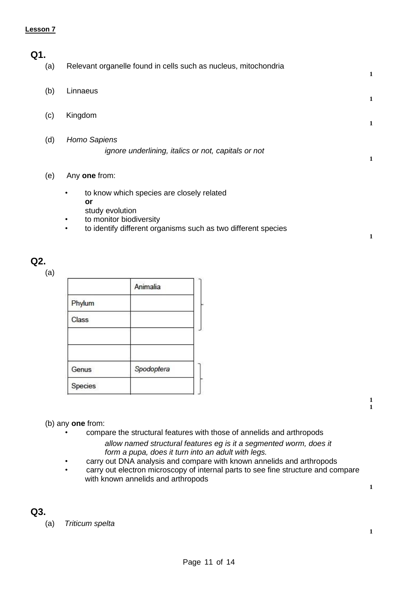| ٠ |
|---|

| .41 |     |                                                                                                       |   |
|-----|-----|-------------------------------------------------------------------------------------------------------|---|
|     | (a) | Relevant organelle found in cells such as nucleus, mitochondria                                       | 1 |
|     | (b) | Linnaeus                                                                                              | 1 |
|     | (c) | Kingdom                                                                                               | 1 |
|     | (d) | Homo Sapiens<br>ignore underlining, italics or not, capitals or not                                   | 1 |
|     | (e) | Any one from:<br>$\bullet$                                                                            |   |
|     |     | to know which species are closely related<br>or<br>study evolution                                    |   |
|     |     | to monitor biodiversity<br>to identify different organisms such as two different species<br>$\bullet$ | 1 |

### **Q2.**

(a)

|              | Animalia   |  |
|--------------|------------|--|
| Phylum       |            |  |
| <b>Class</b> |            |  |
| Genus        |            |  |
| Species      | Spodoptera |  |

### (b) any **one** from:

- compare the structural features with those of annelids and arthropods *allow named structural features eg is it a segmented worm, does it form a pupa, does it turn into an adult with legs.*
- carry out DNA analysis and compare with known annelids and arthropods
- carry out electron microscopy of internal parts to see fine structure and compare with known annelids and arthropods

**1 1**

**1**

**1**

**Q3.**

(a) *Triticum spelta*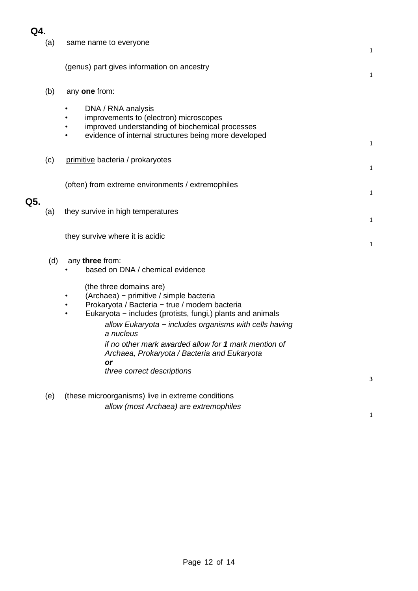| Q5. | (a) | same name to everyone                                                                                                                                                   | $\mathbf{1}$ |
|-----|-----|-------------------------------------------------------------------------------------------------------------------------------------------------------------------------|--------------|
|     |     | (genus) part gives information on ancestry                                                                                                                              | $\mathbf{1}$ |
|     | (b) | any one from:                                                                                                                                                           |              |
|     |     | DNA / RNA analysis<br>improvements to (electron) microscopes<br>improved understanding of biochemical processes<br>evidence of internal structures being more developed | 1            |
|     | (c) | primitive bacteria / prokaryotes                                                                                                                                        | 1            |
|     |     | (often) from extreme environments / extremophiles                                                                                                                       | $\mathbf{1}$ |
|     | (a) | they survive in high temperatures                                                                                                                                       | $\mathbf{1}$ |
|     |     | they survive where it is acidic                                                                                                                                         | 1            |
|     | (d) | any three from:<br>based on DNA / chemical evidence<br>(the three domains are)                                                                                          |              |
|     |     | (Archaea) - primitive / simple bacteria<br>Prokaryota / Bacteria - true / modern bacteria<br>Eukaryota - includes (protists, fungi,) plants and animals<br>$\bullet$    |              |
|     |     | allow Eukaryota - includes organisms with cells having<br>a nucleus                                                                                                     |              |
|     |     | if no other mark awarded allow for 1 mark mention of<br>Archaea, Prokaryota / Bacteria and Eukaryota<br>or                                                              |              |
|     |     | three correct descriptions                                                                                                                                              | 3            |
|     | (e) | (these microorganisms) live in extreme conditions                                                                                                                       |              |
|     |     | allow (most Archaea) are extremophiles                                                                                                                                  | 1            |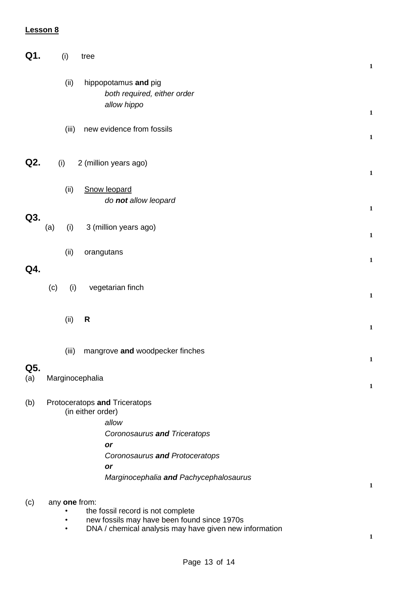| Q1.        |     | (i)            | tree                                                                                                                                                                                | $\mathbf{1}$ |
|------------|-----|----------------|-------------------------------------------------------------------------------------------------------------------------------------------------------------------------------------|--------------|
|            |     | (ii)           | hippopotamus and pig<br>both required, either order<br>allow hippo                                                                                                                  | $\mathbf{1}$ |
|            |     | (iii)          | new evidence from fossils                                                                                                                                                           | $\mathbf{1}$ |
| Q2.        |     | (i)            | 2 (million years ago)                                                                                                                                                               | $\mathbf 1$  |
|            |     | (ii)           | Snow leopard<br>do not allow leopard                                                                                                                                                | $\mathbf 1$  |
| Q3.        | (a) | (i)            | 3 (million years ago)                                                                                                                                                               | $\mathbf 1$  |
| Q4.        |     | (ii)           | orangutans                                                                                                                                                                          | $\mathbf 1$  |
|            | (c) | (i)            | vegetarian finch                                                                                                                                                                    | $\mathbf 1$  |
|            |     | (ii)           | R                                                                                                                                                                                   | $\mathbf{1}$ |
|            |     | (iii)          | mangrove and woodpecker finches                                                                                                                                                     | $\mathbf 1$  |
| Q5.<br>(a) |     |                | Marginocephalia                                                                                                                                                                     | $\mathbf{1}$ |
| (b)        |     |                | Protoceratops and Triceratops<br>(in either order)<br>allow<br>Coronosaurus and Triceratops<br>or<br>Coronosaurus and Protoceratops<br>or<br>Marginocephalia and Pachycephalosaurus | $\mathbf{1}$ |
| (c)        |     | ٠<br>$\bullet$ | any one from:<br>the fossil record is not complete<br>new fossils may have been found since 1970s<br>DNA / chemical analysis may have given new information                         | 1            |